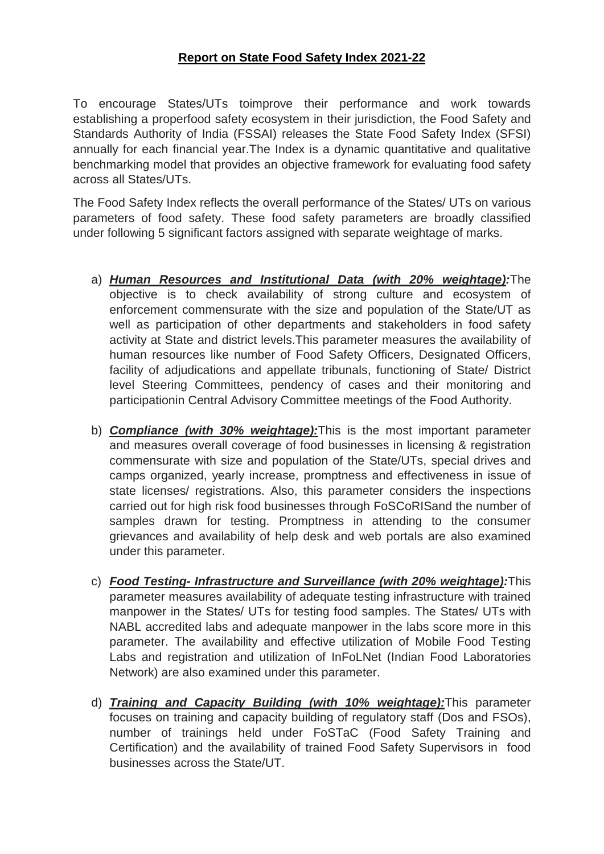To encourage States/UTs toimprove their performance and work towards establishing a properfood safety ecosystem in their jurisdiction, the Food Safety and Standards Authority of India (FSSAI) releases the State Food Safety Index (SFSI) annually for each financial year.The Index is a dynamic quantitative and qualitative benchmarking model that provides an objective framework for evaluating food safety across all States/UTs.

The Food Safety Index reflects the overall performance of the States/ UTs on various parameters of food safety. These food safety parameters are broadly classified under following 5 significant factors assigned with separate weightage of marks.

- a) *Human Resources and Institutional Data (with 20% weightage):*The objective is to check availability of strong culture and ecosystem of enforcement commensurate with the size and population of the State/UT as well as participation of other departments and stakeholders in food safety activity at State and district levels.This parameter measures the availability of human resources like number of Food Safety Officers, Designated Officers, facility of adjudications and appellate tribunals, functioning of State/ District level Steering Committees, pendency of cases and their monitoring and participationin Central Advisory Committee meetings of the Food Authority.
- b) *Compliance (with 30% weightage):*This is the most important parameter and measures overall coverage of food businesses in licensing & registration commensurate with size and population of the State/UTs, special drives and camps organized, yearly increase, promptness and effectiveness in issue of state licenses/ registrations. Also, this parameter considers the inspections carried out for high risk food businesses through FoSCoRISand the number of samples drawn for testing. Promptness in attending to the consumer grievances and availability of help desk and web portals are also examined under this parameter.
- c) *Food Testing- Infrastructure and Surveillance (with 20% weightage):*This parameter measures availability of adequate testing infrastructure with trained manpower in the States/ UTs for testing food samples. The States/ UTs with NABL accredited labs and adequate manpower in the labs score more in this parameter. The availability and effective utilization of Mobile Food Testing Labs and registration and utilization of InFoLNet (Indian Food Laboratories Network) are also examined under this parameter.
- d) *Training and Capacity Building (with 10% weightage):*This parameter focuses on training and capacity building of regulatory staff (Dos and FSOs), number of trainings held under FoSTaC (Food Safety Training and Certification) and the availability of trained Food Safety Supervisors in food businesses across the State/UT.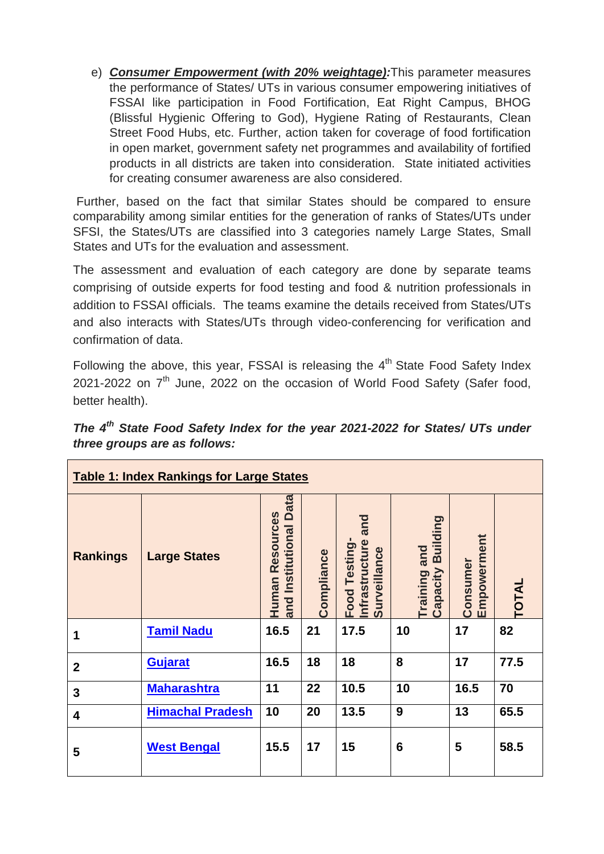e) *Consumer Empowerment (with 20% weightage):*This parameter measures the performance of States/ UTs in various consumer empowering initiatives of FSSAI like participation in Food Fortification, Eat Right Campus, BHOG (Blissful Hygienic Offering to God), Hygiene Rating of Restaurants, Clean Street Food Hubs, etc. Further, action taken for coverage of food fortification in open market, government safety net programmes and availability of fortified products in all districts are taken into consideration. State initiated activities for creating consumer awareness are also considered.

Further, based on the fact that similar States should be compared to ensure comparability among similar entities for the generation of ranks of States/UTs under SFSI, the States/UTs are classified into 3 categories namely Large States, Small States and UTs for the evaluation and assessment.

The assessment and evaluation of each category are done by separate teams comprising of outside experts for food testing and food & nutrition professionals in addition to FSSAI officials. The teams examine the details received from States/UTs and also interacts with States/UTs through video-conferencing for verification and confirmation of data.

Following the above, this year, FSSAI is releasing the  $4<sup>th</sup>$  State Food Safety Index 2021-2022 on 7<sup>th</sup> June, 2022 on the occasion of World Food Safety (Safer food, better health).

|                              |  |  |  | The 4 <sup>th</sup> State Food Safety Index for the year 2021-2022 for States/ UTs under |  |  |
|------------------------------|--|--|--|------------------------------------------------------------------------------------------|--|--|
| three groups are as follows: |  |  |  |                                                                                          |  |  |

| <b>Table 1: Index Rankings for Large States</b> |                         |                                                           |            |                                                        |                                   |                         |              |  |  |  |
|-------------------------------------------------|-------------------------|-----------------------------------------------------------|------------|--------------------------------------------------------|-----------------------------------|-------------------------|--------------|--|--|--|
| <b>Rankings</b>                                 | <b>Large States</b>     | <b>Data</b><br>Resources<br>Institutional<br>Human<br>and | Compliance | and<br>Food Testing-<br>Infrastructure<br>Surveillance | Training and<br>Capacity Building | Empowerment<br>Consumer | <b>TOTAL</b> |  |  |  |
|                                                 | <b>Tamil Nadu</b>       | 16.5                                                      | 21         | 17.5                                                   | 10                                | 17                      | 82           |  |  |  |
| $\mathbf 2$                                     | <b>Gujarat</b>          | 16.5                                                      | 18         | 18                                                     | 8                                 | 17                      | 77.5         |  |  |  |
| 3                                               | <b>Maharashtra</b>      | 11                                                        | 22         | 10.5                                                   | 10                                | 16.5                    | 70           |  |  |  |
| $\overline{\mathbf{4}}$                         | <b>Himachal Pradesh</b> | 10                                                        | 20         | 13.5                                                   | 9                                 | 13                      | 65.5         |  |  |  |
| 5                                               | <b>West Bengal</b>      | 15.5                                                      | 17         | 15                                                     | 6                                 | 5                       | 58.5         |  |  |  |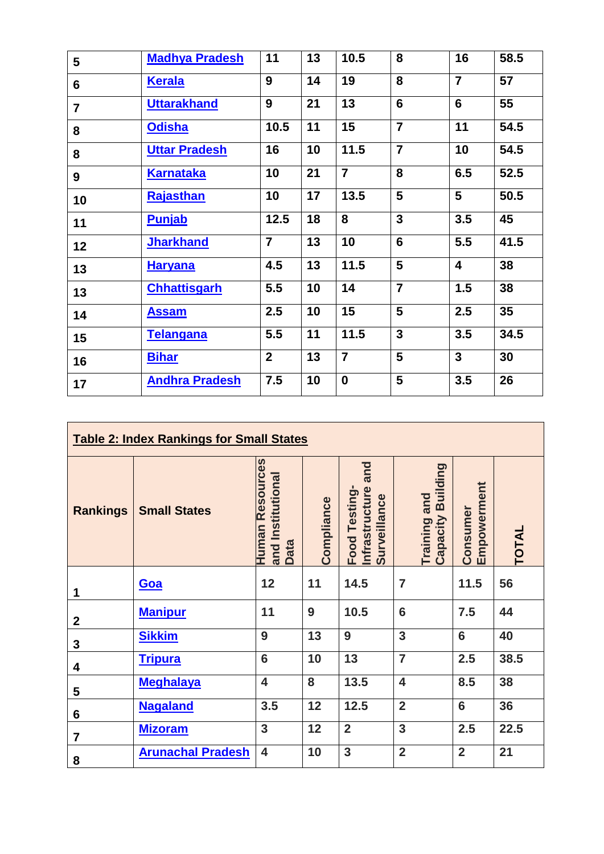| $5\phantom{1}$ | <b>Madhya Pradesh</b> | 11             | 13 | 10.5           | 8              | 16                      | 58.5 |
|----------------|-----------------------|----------------|----|----------------|----------------|-------------------------|------|
| $6\phantom{1}$ | <b>Kerala</b>         | 9              | 14 | 19             | 8              | $\overline{7}$          | 57   |
| $\overline{7}$ | <b>Uttarakhand</b>    | 9              | 21 | 13             | $6\phantom{1}$ | $6\phantom{1}$          | 55   |
| 8              | <b>Odisha</b>         | 10.5           | 11 | 15             | $\overline{7}$ | 11                      | 54.5 |
| 8              | <b>Uttar Pradesh</b>  | 16             | 10 | 11.5           | $\overline{7}$ | 10                      | 54.5 |
| 9              | <u>Karnataka</u>      | 10             | 21 | $\overline{7}$ | 8              | 6.5                     | 52.5 |
| 10             | <b>Rajasthan</b>      | 10             | 17 | 13.5           | 5              | 5                       | 50.5 |
| 11             | <b>Punjab</b>         | 12.5           | 18 | 8              | $\mathbf{3}$   | 3.5                     | 45   |
| 12             | <b>Jharkhand</b>      | $\overline{7}$ | 13 | 10             | $6\phantom{1}$ | 5.5                     | 41.5 |
| 13             | <u>Haryana</u>        | 4.5            | 13 | 11.5           | 5              | $\overline{\mathbf{4}}$ | 38   |
| 13             | <b>Chhattisgarh</b>   | 5.5            | 10 | 14             | $\overline{7}$ | 1.5                     | 38   |
| 14             | <b>Assam</b>          | 2.5            | 10 | 15             | 5              | 2.5                     | 35   |
| 15             | <b>Telangana</b>      | 5.5            | 11 | 11.5           | $\mathbf{3}$   | 3.5                     | 34.5 |
| 16             | <b>Bihar</b>          | $\mathbf{2}$   | 13 | $\overline{7}$ | 5              | $\mathbf{3}$            | 30   |
| 17             | <b>Andhra Pradesh</b> | 7.5            | 10 | $\mathbf 0$    | 5              | 3.5                     | 26   |

| <b>Table 2: Index Rankings for Small States</b> |                          |                                                            |            |                                                        |                         |                                      |                         |              |  |  |
|-------------------------------------------------|--------------------------|------------------------------------------------------------|------------|--------------------------------------------------------|-------------------------|--------------------------------------|-------------------------|--------------|--|--|
| <b>Rankings</b>                                 | <b>Small States</b>      | <b>Human Resources</b><br>and Institutional<br><b>Data</b> | Compliance | and<br>Infrastructure<br>Food Testing-<br>Surveillance |                         | Building<br>Training and<br>Capacity | Empowerment<br>Consumer | <b>TOTAL</b> |  |  |
| 1                                               | Goa                      | 12                                                         | 11         | 14.5                                                   | $\overline{7}$          |                                      | 11.5                    | 56           |  |  |
| $\boldsymbol{2}$                                | <b>Manipur</b>           | 11                                                         | 9          | 10.5                                                   | 6                       |                                      | 7.5                     | 44           |  |  |
| 3                                               | <b>Sikkim</b>            | 9                                                          | 13         | 9                                                      | 3                       |                                      | 6                       | 40           |  |  |
| 4                                               | <b>Tripura</b>           | 6                                                          | 10         | 13                                                     | $\overline{7}$          |                                      | 2.5                     | 38.5         |  |  |
| 5                                               | <b>Meghalaya</b>         | $\overline{\mathbf{4}}$                                    | 8          | 13.5                                                   | $\overline{\mathbf{4}}$ |                                      | 8.5                     | 38           |  |  |
| 6                                               | <b>Nagaland</b>          | 3.5                                                        | 12         | 12.5                                                   | $\overline{2}$          |                                      | $6\phantom{1}$          | 36           |  |  |
| $\overline{7}$                                  | <b>Mizoram</b>           | 3                                                          | 12         | $\overline{2}$                                         | 3                       |                                      | 2.5                     | 22.5         |  |  |
| 8                                               | <b>Arunachal Pradesh</b> | 4                                                          | 10         | 3                                                      | $\overline{2}$          |                                      | $\overline{2}$          | 21           |  |  |